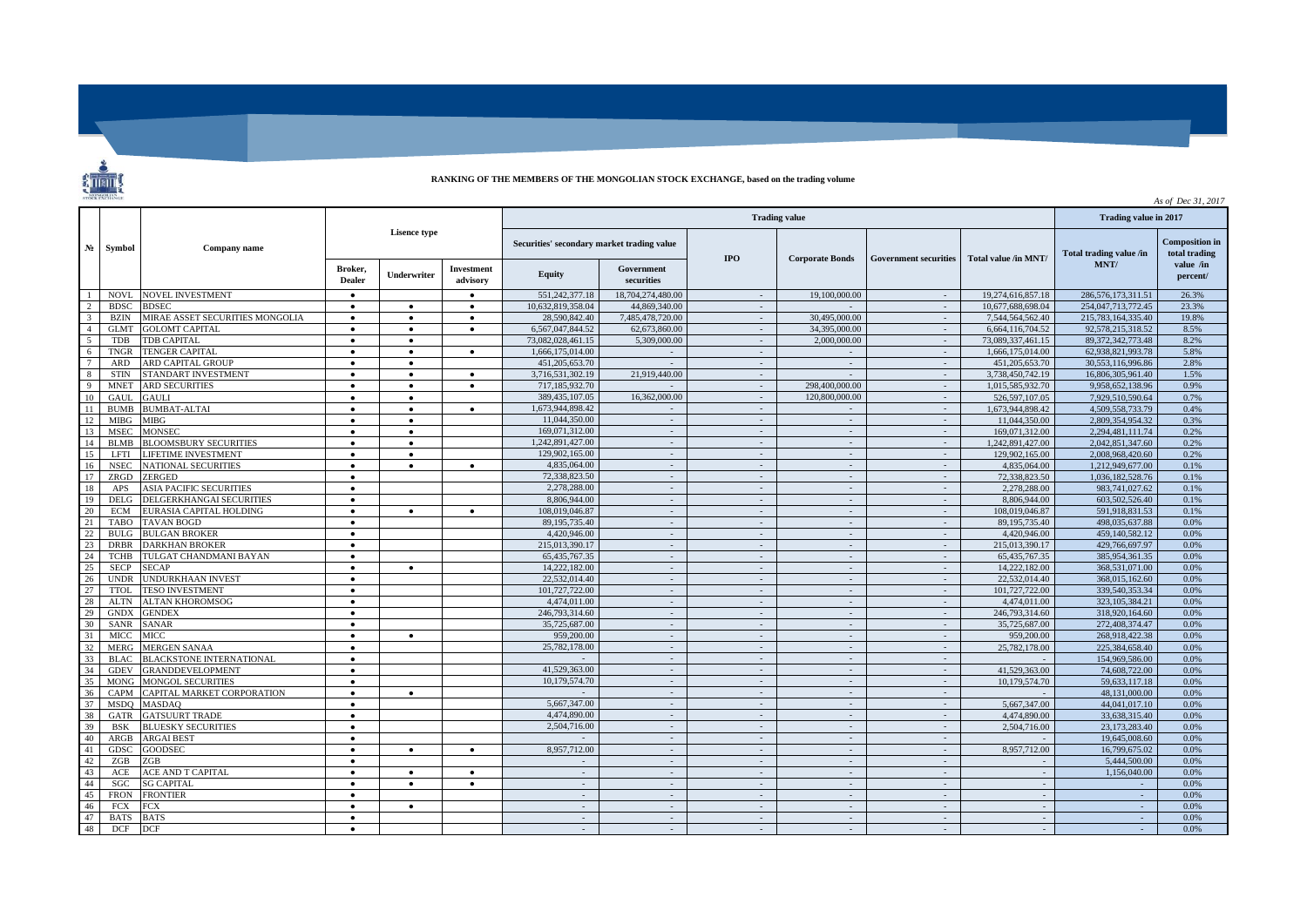## **RANKING OF THE MEMBERS OF THE MONGOLIAN STOCK EXCHANGE, based on the trading volume**

 $\overline{\phantom{a}}$ 

|                          |                           |                                 |                          |             |                                            |                   |                          |                          |                              |                      |                         |                                        | As of Dec 31, 2017    |
|--------------------------|---------------------------|---------------------------------|--------------------------|-------------|--------------------------------------------|-------------------|--------------------------|--------------------------|------------------------------|----------------------|-------------------------|----------------------------------------|-----------------------|
|                          | $N_2$ Symbol              | Company name                    |                          |             |                                            |                   | Trading value in 2017    |                          |                              |                      |                         |                                        |                       |
|                          |                           |                                 | <b>Lisence type</b>      |             | Securities' secondary market trading value |                   | <b>IPO</b>               | <b>Corporate Bonds</b>   | <b>Government securities</b> | Total value /in MNT/ | Total trading value /in | <b>Composition</b> in<br>total trading |                       |
|                          |                           |                                 | Broker,<br><b>Dealer</b> | Underwriter | Investment<br>advisory                     | <b>Equity</b>     | Government<br>securities |                          |                              |                      |                         | MNT/                                   | value /in<br>percent/ |
|                          | <b>NOVL</b>               | <b>NOVEL INVESTMENT</b>         |                          |             |                                            | 551,242,377.18    | 18,704,274,480.00        | $\sim$                   | 19,100,000.00                | $\sim$               | 19,274,616,857.18       | 286,576,173,311.51                     | 26.3%                 |
|                          | <b>BDSC</b>               | <b>BDSEC</b>                    | $\bullet$                | $\bullet$   | $\bullet$                                  | 10.632.819.358.04 | 44,869,340.00            | $\sim$                   |                              | $\sim$               | 10,677,688,698.04       | 254,047,713,772.45                     | 23.3%                 |
| 3                        | <b>BZIN</b>               | MIRAE ASSET SECURITIES MONGOLIA | $\bullet$                | $\bullet$   | $\bullet$                                  | 28,590,842.40     | 7.485.478.720.00         | $\sim$                   | 30,495,000.00                | $\sim$               | 7,544,564,562.40        | 215,783,164,335.40                     | 19.8%                 |
|                          | <b>GLMT</b>               | <b>GOLOMT CAPITAL</b>           | $\bullet$                |             | $\bullet$                                  | 6.567.047.844.52  | 62,673,860.00            |                          | 34,395,000,00                | $\omega$             | 6.664.116.704.52        | 92.578.215.318.52                      | 8.5%                  |
| $\overline{\phantom{0}}$ | <b>TDB</b>                | <b>TDB CAPITAL</b>              | $\bullet$                | $\bullet$   |                                            | 73.082.028.461.15 | 5.309,000.00             | $\sim$                   | 2,000,000,00                 | $\sim$               | 73,089,337,461.15       | 89, 372, 342, 773. 48                  | 8.2%                  |
| -6                       | <b>TNGR</b>               | <b>TENGER CAPITAL</b>           | $\bullet$                | $\bullet$   | $\bullet$                                  | 1,666,175,014.00  |                          | $\sim$                   | $\sim$                       | $\sim$               | 1,666,175,014.00        | 62.938.821.993.78                      | 5.8%                  |
|                          | <b>ARD</b>                | ARD CAPITAL GROUP               | $\bullet$                | $\bullet$   |                                            | 451.205.653.70    |                          | $\sim$                   | $\sim$                       | $\sim$               | 451.205.653.70          | 30.553.116.996.86                      | 2.8%                  |
| $\mathbf{\hat{z}}$       | <b>STIN</b>               | STANDART INVESTMENT             | $\bullet$                | $\bullet$   | $\bullet$                                  | 3.716.531.302.19  | 21,919,440.00            | $\sim$                   | $\sim$                       | $\sim$               | 3.738.450.742.19        | 16,806,305,961.40                      | 1.5%                  |
| $\mathbf{q}$             | <b>MNET</b>               | <b>ARD SECURITIES</b>           | $\bullet$                | $\bullet$   | $\bullet$                                  | 717.185.932.70    |                          | $\sim$                   | 298,400,000.00               | $\sim$               | 1.015.585.932.70        | 9.958.652.138.96                       | 0.9%                  |
| 10                       | <b>GAUL</b>               | <b>GAULI</b>                    | $\bullet$                | $\bullet$   |                                            | 389,435,107.05    | 16,362,000.00            | $\sim$                   | 120,800,000,00               | $\sim$               | 526.597.107.05          | 7.929.510.590.64                       | 0.7%                  |
| -11                      | <b>BUME</b>               | <b>BUMBAT-ALTAI</b>             | $\bullet$                | $\bullet$   | $\bullet$                                  | 1.673.944.898.42  |                          | $\sim$                   | $\sim$                       | $\sim$               | 1.673.944.898.42        | 4,509,558,733,79                       | 0.4%                  |
| 12                       | <b>MIBG</b>               | MIBG                            | $\bullet$                | $\bullet$   |                                            | 11,044,350.00     | $\sim$                   | $\sim$                   | $\sim$                       | $\sim$               | 11.044.350.00           | 2,809,354,954.32                       | 0.3%                  |
| 13                       | <b>MSEC</b>               | <b>MONSEC</b>                   | $\bullet$                | $\bullet$   |                                            | 169,071,312.00    | $\sim$                   | $\sim$                   | $\sim$                       | $\sim$               | 169.071.312.00          | 2,294,481,111.74                       | 0.2%                  |
| 14                       | <b>BLMB</b>               | <b>BLOOMSBURY SECURITIES</b>    | $\bullet$                | $\bullet$   |                                            | 1,242,891,427.00  | $\sim$                   | $\sim$                   | $\sim$                       | $\sim$               | 1.242,891,427.00        | 2.042.851.347.60                       | 0.2%                  |
| 15                       | LFTI                      | LIFETIME INVESTMENT             | $\bullet$                | $\bullet$   |                                            | 129,902,165.00    |                          | $\sim$                   | $\sim$                       | $\sim$               | 129,902,165.00          | 2.008.968.420.60                       | 0.2%                  |
| 16                       | <b>NSEC</b>               | <b>NATIONAL SECURITIES</b>      | $\bullet$                | $\bullet$   | $\bullet$                                  | 4.835.064.00      | $\sim$                   | $\sim$                   | $\sim$                       | $\sim$               | 4,835,064.00            | 1,212,949,677.00                       | 0.1%                  |
| 17                       | ZRGD                      | ZERGED                          | $\bullet$                |             |                                            | 72.338.823.50     | $\sim$                   | $\sim$                   | $\sim$                       | $\sim$               | 72,338,823.50           | 1.036.182.528.76                       | 0.1%                  |
| 18                       | APS                       | <b>ASIA PACIFIC SECURITIES</b>  | $\bullet$                |             |                                            | 2.278.288.00      | $\sim$                   | $\sim$                   | $\sim$                       | $\sim$               | 2.278.288.00            | 983,741,027.62                         | 0.1%                  |
| 19                       | DELG                      | DELGERKHANGAI SECURITIES        | $\bullet$                |             |                                            | 8.806.944.00      | $\sim$                   | $\sim$                   | $\sim$                       | $\sim$               | 8.806.944.00            | 603.502.526.40                         | 0.1%                  |
| 20                       | <b>ECM</b>                | EURASIA CAPITAL HOLDING         | $\bullet$                | $\bullet$   | $\bullet$                                  | 108,019,046.87    | $\sim$                   | $\sim$                   | $\sim$                       | $\sim$               | 108,019,046.87          | 591.918.831.53                         | 0.1%                  |
| 21                       | <b>TABO</b>               | <b>TAVAN BOGD</b>               | $\bullet$                |             |                                            | 89,195,735.40     | $\sim$                   | $\sim$                   | $\sim$                       | $\sim$               | 89,195,735.40           | 498.035.637.88                         | 0.0%                  |
| 22                       | <b>BULG</b>               | <b>BULGAN BROKER</b>            | $\bullet$                |             |                                            | 4,420,946.00      | $\sim$                   | $\sim$                   | $\sim$                       | $\sim$               | 4,420,946.00            | 459.140.582.12                         | 0.0%                  |
| 23                       | <b>DRBR</b>               | DARKHAN BROKER                  | $\bullet$                |             |                                            | 215,013,390.17    | $\sim$                   | $\sim$                   | $\sim$                       | $\sim$               | 215.013.390.17          | 429,766,697.97                         | 0.0%                  |
| 24                       | <b>TCHB</b>               | TULGAT CHANDMANI BAYAN          | $\bullet$                |             |                                            | 65,435,767.35     | $\sim$                   | $\sim$                   | $\sim$                       | $\sim$               | 65,435,767.35           | 385,954,361.35                         | 0.0%                  |
| 25                       | <b>SECP</b>               | <b>SECAP</b>                    | $\bullet$                | $\bullet$   |                                            | 14,222,182.00     | $\sim$                   | $\sim$                   | $\sim$                       | $\sim$               | 14,222,182.00           | 368.531.071.00                         | 0.0%                  |
| 26                       | <b>UNDR</b>               | <b>INDURKHAAN INVEST</b>        | $\bullet$                |             |                                            | 22.532.014.40     |                          | $\blacksquare$           | $\sim$                       | $\sim$               | 22,532,014.40           | 368,015,162.60                         | 0.0%                  |
| 27                       | <b>TTOL</b>               | <b>TESO INVESTMENT</b>          | $\bullet$                |             |                                            | 101,727,722.00    | $\sim$                   | $\sim$                   | $\sim$                       | $\sim$               | 101.727.722.00          | 339,540,353.34                         | 0.0%                  |
| 28                       | <b>ALTN</b>               | <b>ALTAN KHOROMSOG</b>          | $\bullet$                |             |                                            | 4.474.011.00      | $\sim$                   | $\sim$                   | $\sim$                       | $\sim$               | 4,474,011.00            | 323, 105, 384, 21                      | 0.0%                  |
| 29                       | <b>GNDX</b>               | <b>GENDEX</b>                   | $\bullet$                |             |                                            | 246,793,314.60    | $\sim$                   | $\sim$                   | $\sim$                       | $\sim$               | 246,793,314.60          | 318,920,164.60                         | 0.0%                  |
| 30                       | <b>SANR</b>               | SANAR                           | $\bullet$                |             |                                            | 35,725,687.00     | $\sim$                   | $\sim$                   | $\sim$                       | $\sim$               | 35,725,687.00           | 272,408,374.47                         | 0.0%                  |
| 31                       | <b>MICC</b>               | <b>MICC</b>                     | $\bullet$                | $\bullet$   |                                            | 959,200,00        | $\sim$                   | $\sim$                   | $\sim$                       | $\sim$               | 959,200.00              | 268.918.422.38                         | 0.0%                  |
| 32                       | <b>MERG</b>               | MERGEN SANAA                    | $\bullet$                |             |                                            | 25,782,178,00     |                          | $\overline{\phantom{a}}$ | $\sim$                       | $\omega$             | 25,782,178,00           | 225.384.658.40                         | 0.0%                  |
| 33                       | <b>BLAC</b>               | <b>BLACKSTONE INTERNATIONAL</b> | $\bullet$                |             |                                            |                   | $\sim$                   | $\sim$                   | $\sim$                       | $\sim$               |                         | 154,969,586.00                         | 0.0%                  |
| 34                       | <b>GDEV</b>               | <b>GRANDDEVELOPMENT</b>         | $\bullet$                |             |                                            | 41,529,363.00     | $\sim$                   | $\sim$                   | $\sim$                       | $\sim$               | 41,529,363,00           | 74,608,722,00                          | 0.0%                  |
| 35                       | <b>MONG</b>               | <b>MONGOL SECURITIES</b>        | $\bullet$                |             |                                            | 10,179,574.70     |                          | $\sim$                   | $\sim$                       | $\sim$               | 10,179,574.70           | 59,633,117.18                          | 0.0%                  |
| 36                       | CAPM                      | CAPITAL MARKET CORPORATION      | $\bullet$                | $\bullet$   |                                            |                   | $\sim$                   | $\sim$                   | $\sim$                       | $\sim$               |                         | 48,131,000.00                          | 0.0%                  |
| 37                       | <b>MSDO</b>               | MASDAQ                          | $\bullet$                |             |                                            | 5,667,347.00      | $\sim$                   | $\sim$                   | $\sim$                       | $\sim$               | 5,667,347.00            | 44.041.017.10                          | 0.0%                  |
| 38                       | GATR                      | <b>GATSUURT TRADE</b>           | $\bullet$                |             |                                            | 4,474,890.00      | $\sim$                   | $\sim$                   | $\sim$                       | $\sim$               | 4,474,890.00            | 33,638,315.40                          | 0.0%                  |
| 39                       | <b>BSK</b>                | <b>BLUESKY SECURITIES</b>       | $\bullet$                |             |                                            | 2,504,716.00      | $\sim$                   | $\sim$                   | $\sim$                       | $\sim$               | 2,504,716.00            | 23,173,283.40                          | 0.0%                  |
| 40                       | ARGB                      | <b>ARGAI BEST</b>               | $\bullet$                |             |                                            |                   | $\sim$                   | $\sim$                   | $\sim$                       | $\sim$               |                         | 19,645,008.60                          | 0.0%                  |
| 41                       | <b>GDSC</b>               | GOODSEC                         | $\bullet$                | $\bullet$   | $\bullet$                                  | 8,957,712.00      | $\sim$                   | $\sim$                   | $\sim$                       | $\sim$               | 8,957,712.00            | 16,799,675.02                          | 0.0%                  |
| 42                       | ZGB                       | ZGB                             | $\bullet$                |             |                                            |                   | $\sim$                   | $\sim$                   | $\sim$                       | $\sim$               |                         | 5,444,500.00                           | 0.0%                  |
| 43                       | ACE                       | ACE AND T CAPITAL               | $\bullet$                | $\bullet$   | $\bullet$                                  | $\sim$            | $\sim$                   | $\sim$                   | $\sim$                       | $\sim$               |                         | 1.156.040.00                           | 0.0%                  |
| 44                       | <b>SGC</b>                | <b>SG CAPITAL</b>               | $\bullet$                | $\bullet$   | $\bullet$                                  | $\sim$            | $\sim$                   | $\sim$                   | $\sim$                       | $\sim$               |                         | $\sim$                                 | 0.0%                  |
| 45                       | <b>FRON</b>               | <b>FRONTIER</b>                 | $\bullet$                |             |                                            | $\sim$            |                          | $\sim$                   | $\sim$                       | $\bar{\mathbf{r}}$   |                         | $\omega$ .                             | 0.0%                  |
| 46                       | <b>FCX</b>                | FCX                             | $\bullet$                | $\bullet$   |                                            | $\sim$            | $\sim$                   | $\sim$                   | $\sim$                       | $\sim$               |                         | $\sim$                                 | 0.0%                  |
| 47<br>48                 | <b>BATS</b><br><b>DCF</b> | <b>BATS</b><br>DCF              | $\bullet$                |             |                                            | $\sim$<br>÷.      | $\sim$                   | $\sim$                   | $\sim$<br>$\sim$             | $\sim$<br>$\sim$     |                         | $\sim$                                 | 0.0%<br>0.0%          |
|                          |                           |                                 | $\bullet$                |             |                                            |                   |                          |                          |                              |                      |                         |                                        |                       |